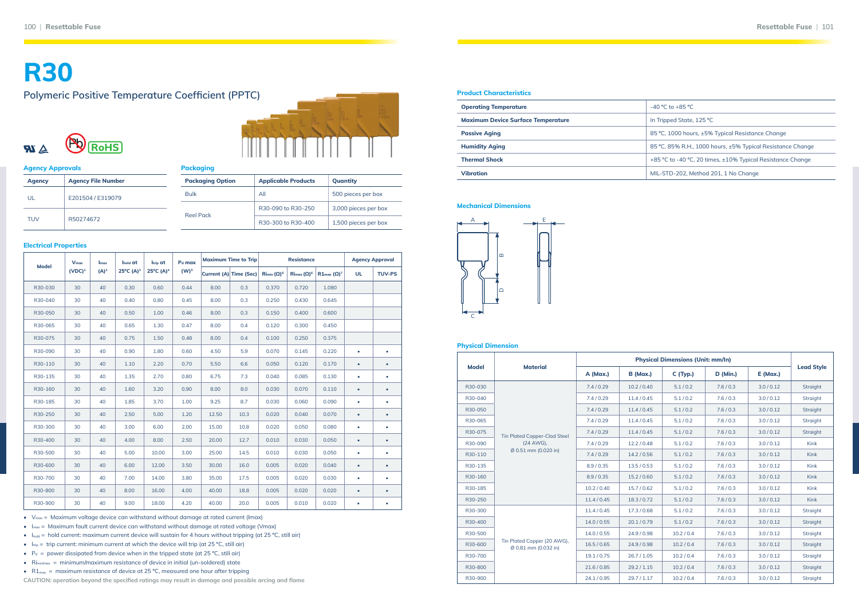| <b>Product Characteristics</b>            |  |  |  |  |  |
|-------------------------------------------|--|--|--|--|--|
| <b>Operating Temperature</b>              |  |  |  |  |  |
| <b>Maximum Device Surface Temperature</b> |  |  |  |  |  |
| <b>Passive Aging</b>                      |  |  |  |  |  |
| <b>Humidity Aging</b>                     |  |  |  |  |  |
| <b>Thermal Shock</b>                      |  |  |  |  |  |
| <b>Vibration</b>                          |  |  |  |  |  |

**Passive Aging** 85 ºC, 1000 hours, ±5% Typical Resistance Change

**Humidity Aging** 85 ºC, 85% R.H., 1000 hours, ±5% Typical Resistance Change

**Thermal Shock** +85 ºC to -40 ºC, 20 times, ±10% Typical Resistance Change

**Vibration** MIL-STD-202, Method 201, 1 No Change

#### **Physical Dimension**

| <b>Model</b> | <b>Material</b>                                               | A (Max.)    | <b>B</b> (Max.) | C(Typ.)    | $D$ (Min.) | $E$ (Max.) | <b>Lead Style</b> |
|--------------|---------------------------------------------------------------|-------------|-----------------|------------|------------|------------|-------------------|
| R30-030      |                                                               | 7.4/0.29    | 10.2 / 0.40     | 5.1/0.2    | 7.6/0.3    | 3.0/0.12   | <b>Straight</b>   |
| R30-040      |                                                               | 7.4/0.29    | 11.4/0.45       | 5.1/0.2    | 7.6/0.3    | 3.0/0.12   | Straight          |
| R30-050      |                                                               | 7.4/0.29    | 11.4/0.45       | 5.1/0.2    | 7.6/0.3    | 3.0/0.12   | <b>Straight</b>   |
| R30-065      |                                                               | 7.4/0.29    | 11.4/0.45       | 5.1/0.2    | 7.6/0.3    | 3.0 / 0.12 | Straight          |
| R30-075      | <b>Tin Plated Copper-Clad Steel</b>                           | 7.4/0.29    | 11.4/0.45       | 5.1/0.2    | 7.6/0.3    | 3.0 / 0.12 | <b>Straight</b>   |
| R30-090      | (24 AWG),                                                     | 7.4/0.29    | 12.2 / 0.48     | 5.1/0.2    | 7.6/0.3    | 3.0 / 0.12 | <b>Kink</b>       |
| R30-110      | $\emptyset$ 0.51 mm (0.020 in)                                | 7.4/0.29    | 14.2/0.56       | 5.1/0.2    | 7.6/0.3    | 3.0 / 0.12 | <b>Kink</b>       |
| R30-135      |                                                               | 8.9 / 0.35  | 13.5/0.53       | 5.1/0.2    | 7.6/0.3    | 3.0 / 0.12 | <b>Kink</b>       |
| R30-160      |                                                               | 8.9 / 0.35  | 15.2 / 0.60     | 5.1/0.2    | 7.6/0.3    | 3.0 / 0.12 | <b>Kink</b>       |
| R30-185      |                                                               | 10.2 / 0.40 | 15.7 / 0.62     | 5.1/0.2    | 7.6/0.3    | 3.0 / 0.12 | Kink              |
| R30-250      |                                                               | 11.4/0.45   | 18.3/0.72       | 5.1/0.2    | 7.6/0.3    | 3.0/0.12   | <b>Kink</b>       |
| R30-300      |                                                               | 11.4/0.45   | 17.3 / 0.68     | 5.1/0.2    | 7.6/0.3    | 3.0 / 0.12 | Straight          |
| R30-400      |                                                               | 14.0 / 0.55 | 20.1 / 0.79     | 5.1/0.2    | 7.6/0.3    | 3.0 / 0.12 | <b>Straight</b>   |
| R30-500      |                                                               | 14.0 / 0.55 | 24.9 / 0.98     | 10.2 / 0.4 | 7.6/0.3    | 3.0 / 0.12 | Straight          |
| R30-600      | Tin Plated Copper (20 AWG),<br>$\emptyset$ 0.81 mm (0.032 in) | 16.5/0.65   | 24.9 / 0.98     | 10.2 / 0.4 | 7.6/0.3    | 3.0 / 0.12 | <b>Straight</b>   |
| R30-700      |                                                               | 19.1/0.75   | 26.7 / 1.05     | 10.2 / 0.4 | 7.6/0.3    | 3.0 / 0.12 | <b>Straight</b>   |
| R30-800      |                                                               | 21.6/0.85   | 29.2 / 1.15     | 10.2 / 0.4 | 7.6/0.3    | 3.0 / 0.12 | <b>Straight</b>   |
| R30-900      |                                                               | 24.1/0.95   | 29.7 / 1.17     | 10.2 / 0.4 | 7.6/0.3    | 3.0 / 0.12 | <b>Straight</b>   |

-40 °C to +85 °C

**In Tripped State, 125 °C** 

#### **Mechanical Dimensions**



## **R30**

## **Polymeric Positive Temperature Coefficient (PPTC)**





| <b>Agency Approvals</b> |                           | <b>Packaging</b>        |                            |                      |  |  |  |  |
|-------------------------|---------------------------|-------------------------|----------------------------|----------------------|--|--|--|--|
| <b>Agency</b>           | <b>Agency File Number</b> | <b>Packaging Option</b> | <b>Applicable Products</b> | Quantity             |  |  |  |  |
| UL                      | E201504 / E319079         | <b>Bulk</b>             | All                        | 500 pieces per box   |  |  |  |  |
|                         |                           |                         | R30-090 to R30-250         | 3,000 pieces per box |  |  |  |  |
| <b>TUV</b>              | R50274672                 | <b>Reel Pack</b>        | R30-300 to R30-400         | 1,500 pieces per box |  |  |  |  |

#### **Electrical Properties**

|              | $V_{max}$ | Imax    | Ihold at             | Itrip at              | Pd max  |                        | <b>Maximum Time to Trip</b> |                    | <b>Resistance</b>                       |                       |           | <b>Agency Approval</b> |
|--------------|-----------|---------|----------------------|-----------------------|---------|------------------------|-----------------------------|--------------------|-----------------------------------------|-----------------------|-----------|------------------------|
| <b>Model</b> | $(VDC)^1$ | $(A)^2$ | $25^{\circ}C(A)^{3}$ | 25°C (A) <sup>4</sup> | $(W)^5$ | Current (A) Time (Sec) |                             | $Rimin (\Omega)^6$ | $\operatorname{Rim}_{\alpha}(\Omega)^6$ | $R1_{max} (\Omega)^7$ | <b>UL</b> | <b>TUV-PS</b>          |
| R30-030      | 30        | 40      | 0.30                 | 0.60                  | 0.44    | 8.00                   | 0.3                         | 0.370              | 0.720                                   | 1.080                 |           |                        |
| R30-040      | 30        | 40      | 0.40                 | 0.80                  | 0.45    | 8.00                   | 0.3                         | 0.250              | 0.430                                   | 0.645                 |           |                        |
| R30-050      | 30        | 40      | 0.50                 | 1.00                  | 0.46    | 8.00                   | 0.3                         | 0.150              | 0.400                                   | 0.600                 |           |                        |
| R30-065      | 30        | 40      | 0.65                 | 1.30                  | 0.47    | 8.00                   | 0.4                         | 0.120              | 0.300                                   | 0.450                 |           |                        |
| R30-075      | 30        | 40      | 0.75                 | 1.50                  | 0.48    | 8.00                   | 0.4                         | 0.100              | 0.250                                   | 0.375                 |           |                        |
| R30-090      | 30        | 40      | 0.90                 | 1.80                  | 0.60    | 4.50                   | 5.9                         | 0.070              | 0.145                                   | 0.220                 | $\bullet$ | $\bullet$              |
| R30-110      | 30        | 40      | 1.10                 | 2.20                  | 0.70    | 5.50                   | 6.6                         | 0.050              | 0.120                                   | 0.170                 | $\bullet$ | $\bullet$              |
| R30-135      | 30        | 40      | 1.35                 | 2.70                  | 0.80    | 6.75                   | 7.3                         | 0.040              | 0.085                                   | 0.130                 | $\bullet$ | $\bullet$              |
| R30-160      | 30        | 40      | 1.60                 | 3.20                  | 0.90    | 8.00                   | 8.0                         | 0.030              | 0.070                                   | 0.110                 | $\bullet$ | $\bullet$              |
| R30-185      | 30        | 40      | 1.85                 | 3.70                  | 1.00    | 9.25                   | 8.7                         | 0.030              | 0.060                                   | 0.090                 | $\bullet$ | $\bullet$              |
| R30-250      | 30        | 40      | 2.50                 | 5.00                  | 1.20    | 12.50                  | 10.3                        | 0.020              | 0.040                                   | 0.070                 | $\bullet$ | $\bullet$              |
| R30-300      | 30        | 40      | 3.00                 | 6.00                  | 2.00    | 15.00                  | 10.8                        | 0.020              | 0.050                                   | 0.080                 | $\bullet$ | ٠                      |
| R30-400      | 30        | 40      | 4.00                 | 8.00                  | 2.50    | 20.00                  | 12.7                        | 0.010              | 0.030                                   | 0.050                 | $\bullet$ | $\bullet$              |
| R30-500      | 30        | 40      | 5.00                 | 10.00                 | 3.00    | 25.00                  | 14.5                        | 0.010              | 0.030                                   | 0.050                 | $\bullet$ | $\bullet$              |
| R30-600      | 30        | 40      | 6.00                 | 12.00                 | 3.50    | 30.00                  | 16.0                        | 0.005              | 0.020                                   | 0.040                 | $\bullet$ | $\bullet$              |
| R30-700      | 30        | 40      | 7.00                 | 14.00                 | 3.80    | 35.00                  | 17.5                        | 0.005              | 0.020                                   | 0.030                 | $\bullet$ | $\bullet$              |
| R30-800      | 30        | 40      | 8.00                 | 16.00                 | 4.00    | 40.00                  | 18.8                        | 0.005              | 0.020                                   | 0.020                 | $\bullet$ | $\bullet$              |
| R30-900      | 30        | 40      | 9.00                 | 18.00                 | 4.20    | 40.00                  | 20.0                        | 0.005              | 0.010                                   | 0.020                 | $\bullet$ |                        |

•  $V_{max}$  = Maximum voltage device can withstand without damage at rated current (lmax)

•  $\ln x =$  Maximum fault current device can withstand without damage at rated voltage (Vmax)

• Ihold = hold current: maximum current device will sustain for 4 hours without tripping (at 25 °C, still air)

•  $I_{\text{trip}}$  = trip current: minimum current at which the device will trip (at 25 °C, still air)

•  $P_d =$  power dissipated from device when in the tripped state (at 25 °C, still air)

• Rimin/max = minimum/maximum resistance of device in initial (un-soldered) state

•  $R1_{\text{max}}$  = maximum resistance of device at 25 °C, measured one hour after tripping

**CAUTION: operation beyond the specified ratings may result in damage and possible arcing and flame**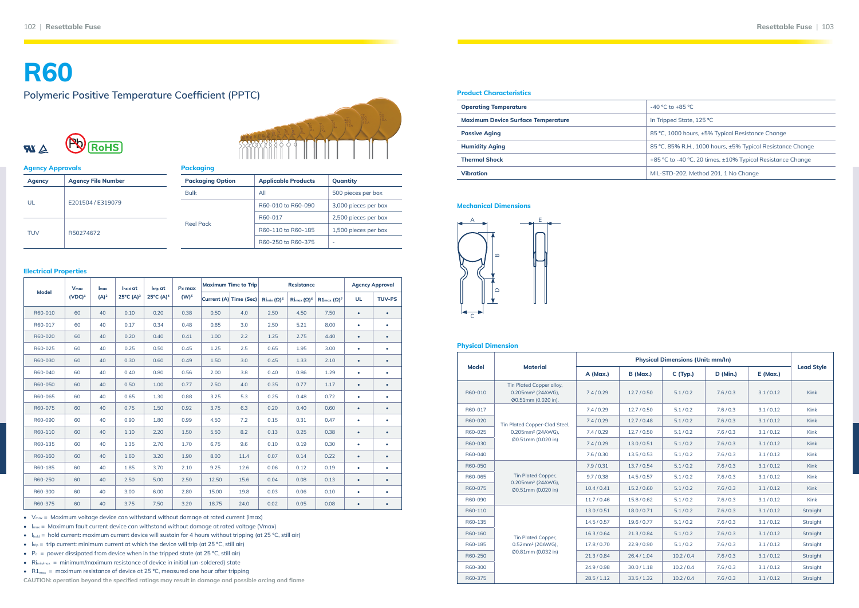| <b>Product Characteristics</b>            |  |  |  |  |  |
|-------------------------------------------|--|--|--|--|--|
| <b>Operating Temperature</b>              |  |  |  |  |  |
| <b>Maximum Device Surface Temperature</b> |  |  |  |  |  |
| <b>Passive Aging</b>                      |  |  |  |  |  |
| <b>Humidity Aging</b>                     |  |  |  |  |  |
| <b>Thermal Shock</b>                      |  |  |  |  |  |
| Vibration                                 |  |  |  |  |  |

**Passive Aging** 85 ºC, 1000 hours, ±5% Typical Resistance Change

**Humidity Aging** 85 ºC, 85% R.H., 1000 hours, ±5% Typical Resistance Change

**Thermal Shock** +85 ºC to -40 ºC, 20 times, ±10% Typical Resistance Change

**Vibration** MIL-STD-202, Method 201, 1 No Change

#### **Physical Dimension**

| <b>Model</b> | <b>Material</b>                                                                  | A (Max.)    | <b>B</b> (Max.) | C(Typ.)    | <b>D</b> (Min.) | $E$ (Max.) | <b>Lead Style</b> |
|--------------|----------------------------------------------------------------------------------|-------------|-----------------|------------|-----------------|------------|-------------------|
| R60-010      | Tin Plated Copper alloy,<br>0.205mm <sup>2</sup> (24AWG),<br>Ø0.51mm (0.020 in). | 7.4/0.29    | 12.7/0.50       | 5.1/0.2    | 7.6/0.3         | 3.1/0.12   | <b>Kink</b>       |
| R60-017      |                                                                                  | 7.4/0.29    | 12.7/0.50       | 5.1/0.2    | 7.6/0.3         | 3.1/0.12   | <b>Kink</b>       |
| R60-020      | Tin Plated Copper-Clad Steel,                                                    | 7.4/0.29    | 12.7/0.48       | 5.1/0.2    | 7.6/0.3         | 3.1/0.12   | <b>Kink</b>       |
| R60-025      | 0.205mm <sup>2</sup> (24AWG),                                                    | 7.4/0.29    | 12.7 / 0.50     | 5.1/0.2    | 7.6/0.3         | 3.1/0.12   | <b>Kink</b>       |
| R60-030      | Ø0.51mm (0.020 in)                                                               | 7.4/0.29    | 13.0 / 0.51     | 5.1/0.2    | 7.6/0.3         | 3.1/0.12   | <b>Kink</b>       |
| R60-040      |                                                                                  | 7.6/0.30    | 13.5/0.53       | 5.1/0.2    | 7.6/0.3         | 3.1/0.12   | <b>Kink</b>       |
| R60-050      |                                                                                  | 7.9/0.31    | 13.7/0.54       | 5.1/0.2    | 7.6/0.3         | 3.1/0.12   | <b>Kink</b>       |
| R60-065      | <b>Tin Plated Copper,</b>                                                        | 9.7/0.38    | 14.5/0.57       | 5.1/0.2    | 7.6/0.3         | 3.1/0.12   | Kink              |
| R60-075      | 0.205mm <sup>2</sup> (24AWG),<br>Ø0.51mm (0.020 in)                              | 10.4 / 0.41 | 15.2 / 0.60     | 5.1/0.2    | 7.6/0.3         | 3.1/0.12   | <b>Kink</b>       |
| R60-090      |                                                                                  | 11.7/0.46   | 15.8 / 0.62     | 5.1/0.2    | 7.6/0.3         | 3.1/0.12   | <b>Kink</b>       |
| R60-110      |                                                                                  | 13.0 / 0.51 | 18.0/0.71       | 5.1/0.2    | 7.6/0.3         | 3.1/0.12   | Straight          |
| R60-135      |                                                                                  | 14.5/0.57   | 19.6 / 0.77     | 5.1/0.2    | 7.6/0.3         | 3.1/0.12   | <b>Straight</b>   |
| R60-160      | <b>Tin Plated Copper,</b>                                                        | 16.3 / 0.64 | 21.3 / 0.84     | 5.1/0.2    | 7.6/0.3         | 3.1/0.12   | Straight          |
| R60-185      | 0.52mm <sup>2</sup> (20AWG),                                                     | 17.8 / 0.70 | 22.9 / 0.90     | 5.1/0.2    | 7.6/0.3         | 3.1/0.12   | Straight          |
| R60-250      | Ø0.81mm (0.032 in)                                                               | 21.3/0.84   | 26.4 / 1.04     | 10.2 / 0.4 | 7.6/0.3         | 3.1/0.12   | <b>Straight</b>   |
| R60-300      |                                                                                  | 24.9 / 0.98 | 30.0 / 1.18     | 10.2 / 0.4 | 7.6/0.3         | 3.1/0.12   | Straight          |
| R60-375      |                                                                                  | 28.5 / 1.12 | 33.5 / 1.32     | 10.2 / 0.4 | 7.6/0.3         | 3.1/0.12   | <b>Straight</b>   |

-40 °C to +85 °C

**In Tripped State, 125 °C** 

#### **Mechanical Dimensions**



## **R60**

## **Polymeric Positive Temperature Coefficient (PPTC)**





| <b>Agency Approvals</b> |                           | <b>Packaging</b> |
|-------------------------|---------------------------|------------------|
| <b>Agency</b>           | <b>Agency File Number</b> | <b>Packaging</b> |
|                         |                           | <b>Bulk</b>      |
| UL                      | E201504 / E319079         |                  |
| <b>TUV</b>              | R50274672                 | <b>Reel Pack</b> |

| Packaging               |                            |                      |
|-------------------------|----------------------------|----------------------|
| <b>Packaging Option</b> | <b>Applicable Products</b> | Quantity             |
| <b>Bulk</b>             | All                        | 500 pieces per box   |
|                         | R60-010 to R60-090         | 3,000 pieces per box |
| <b>Reel Pack</b>        | R60-017                    | 2,500 pieces per box |
|                         | R60-110 to R60-185         | 1,500 pieces per box |
|                         | R60-250 to R60-375         |                      |

#### **Electrical Properties**

**CAUTION: operation beyond the specified ratings may result in damage and possible arcing and flame** 

|              | $V_{max}$ | $I_{\text{max}}$ | $I_{hold}$ at        | l <sub>trip</sub> at  | $Pd$ max         |       | <b>Maximum Time to Trip</b> |                    | <b>Resistance</b>                       |                       |           | <b>Agency Approval</b> |
|--------------|-----------|------------------|----------------------|-----------------------|------------------|-------|-----------------------------|--------------------|-----------------------------------------|-----------------------|-----------|------------------------|
| <b>Model</b> | $(VDC)^1$ | $(A)^2$          | $25^{\circ}C(A)^{3}$ | 25°C (A) <sup>4</sup> | (W) <sup>5</sup> |       | Current (A) Time (Sec)      | $Rimin (\Omega)^6$ | $\operatorname{Rim}\nolimits(\Omega)^6$ | $R1_{max} (\Omega)^7$ | <b>UL</b> | <b>TUV-PS</b>          |
| R60-010      | 60        | 40               | 0.10                 | 0.20                  | 0.38             | 0.50  | 4.0                         | 2.50               | 4.50                                    | 7.50                  | $\bullet$ | $\bullet$              |
| R60-017      | 60        | 40               | 0.17                 | 0.34                  | 0.48             | 0.85  | 3.0                         | 2.50               | 5.21                                    | 8.00                  | $\bullet$ | $\bullet$              |
| R60-020      | 60        | 40               | 0.20                 | 0.40                  | 0.41             | 1.00  | 2.2                         | 1.25               | 2.75                                    | 4.40                  | $\bullet$ | $\bullet$              |
| R60-025      | 60        | 40               | 0.25                 | 0.50                  | 0.45             | 1.25  | 2.5                         | 0.65               | 1.95                                    | 3.00                  | $\bullet$ | ٠                      |
| R60-030      | 60        | 40               | 0.30                 | 0.60                  | 0.49             | 1.50  | 3.0                         | 0.45               | 1.33                                    | 2.10                  | $\bullet$ | $\bullet$              |
| R60-040      | 60        | 40               | 0.40                 | 0.80                  | 0.56             | 2.00  | 3.8                         | 0.40               | 0.86                                    | 1.29                  | $\bullet$ | $\bullet$              |
| R60-050      | 60        | 40               | 0.50                 | 1.00                  | 0.77             | 2.50  | 4.0                         | 0.35               | 0.77                                    | 1.17                  | $\bullet$ | $\bullet$              |
| R60-065      | 60        | 40               | 0.65                 | 1.30                  | 0.88             | 3.25  | 5.3                         | 0.25               | 0.48                                    | 0.72                  | ٠         | $\bullet$              |
| R60-075      | 60        | 40               | 0.75                 | 1.50                  | 0.92             | 3.75  | 6.3                         | 0.20               | 0.40                                    | 0.60                  | $\bullet$ | $\bullet$              |
| R60-090      | 60        | 40               | 0.90                 | 1.80                  | 0.99             | 4.50  | 7.2                         | 0.15               | 0.31                                    | 0.47                  | ٠         | $\bullet$              |
| R60-110      | 60        | 40               | 1.10                 | 2.20                  | 1.50             | 5.50  | 8.2                         | 0.13               | 0.25                                    | 0.38                  | $\bullet$ | $\bullet$              |
| R60-135      | 60        | 40               | 1.35                 | 2.70                  | 1.70             | 6.75  | 9.6                         | 0.10               | 0.19                                    | 0.30                  | ٠         | $\bullet$              |
| R60-160      | 60        | 40               | 1.60                 | 3.20                  | 1.90             | 8.00  | 11.4                        | 0.07               | 0.14                                    | 0.22                  | $\bullet$ | $\bullet$              |
| R60-185      | 60        | 40               | 1.85                 | 3.70                  | 2.10             | 9.25  | 12.6                        | 0.06               | 0.12                                    | 0.19                  | ٠         | $\bullet$              |
| R60-250      | 60        | 40               | 2.50                 | 5.00                  | 2.50             | 12.50 | 15.6                        | 0.04               | 0.08                                    | 0.13                  | $\bullet$ | $\bullet$              |
| R60-300      | 60        | 40               | 3.00                 | 6.00                  | 2.80             | 15.00 | 19.8                        | 0.03               | 0.06                                    | 0.10                  | ٠         | ٠                      |
| R60-375      | 60        | 40               | 3.75                 | 7.50                  | 3.20             | 18.75 | 24.0                        | 0.02               | 0.05                                    | 0.08                  | $\bullet$ | $\bullet$              |

•  $V_{max}$  = Maximum voltage device can withstand without damage at rated current (lmax)

•  $\ln x =$  Maximum fault current device can withstand without damage at rated voltage (Vmax)

• Ihold = hold current: maximum current device will sustain for 4 hours without tripping (at 25 °C, still air)

•  $I_{\text{trip}}$  = trip current: minimum current at which the device will trip (at 25 °C, still air)

•  $P_d =$  power dissipated from device when in the tripped state (at 25 °C, still air)

• Rimin/max = minimum/maximum resistance of device in initial (un-soldered) state

•  $R1_{\text{max}}$  = maximum resistance of device at 25 °C, measured one hour after tripping